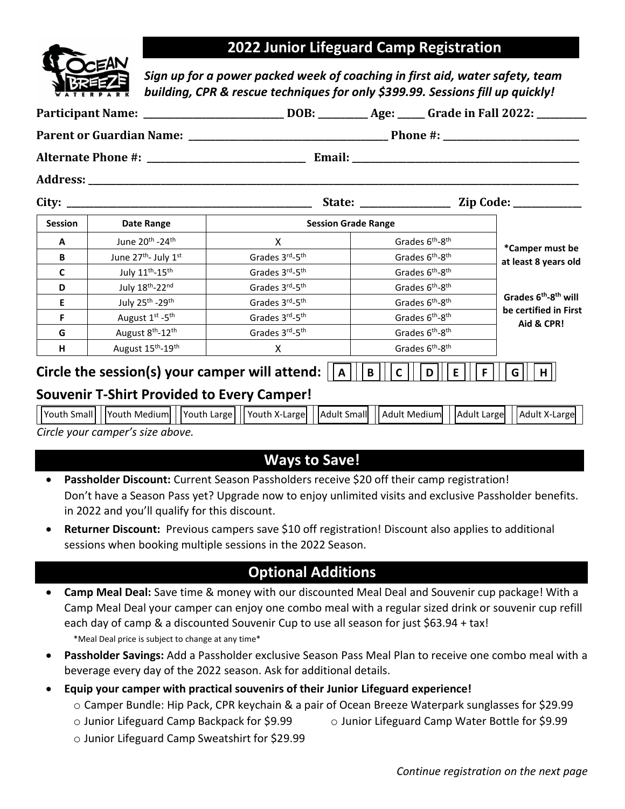### **2022 Junior Lifeguard Camp Registration**

*Sign up for a power packed week of coaching in first aid, water safety, team building, CPR & rescue techniques for only \$399.99. Sessions fill up quickly!* 

| <b>Session</b> | <b>Date Range</b>                                 | <b>Session Grade Range</b>                                                                                         |                             |                                         |                                              |  |
|----------------|---------------------------------------------------|--------------------------------------------------------------------------------------------------------------------|-----------------------------|-----------------------------------------|----------------------------------------------|--|
| A              | June 20 <sup>th</sup> -24 <sup>th</sup>           | $\mathsf{x}$                                                                                                       |                             | Grades 6 <sup>th</sup> -8 <sup>th</sup> |                                              |  |
| B              | June 27 <sup>th</sup> - July 1st                  | Grades 3rd-5th                                                                                                     |                             | Grades 6 <sup>th</sup> -8 <sup>th</sup> | *Camper must be<br>at least 8 years old      |  |
| C              | July 11 <sup>th</sup> -15 <sup>th</sup>           | Grades 3rd-5th                                                                                                     |                             | Grades 6 <sup>th</sup> -8 <sup>th</sup> |                                              |  |
| D              | July 18th-22nd                                    | Grades 3rd-5th                                                                                                     |                             | Grades 6 <sup>th</sup> -8 <sup>th</sup> |                                              |  |
| Е              | July 25 <sup>th</sup> -29 <sup>th</sup>           | Grades 3rd-5th                                                                                                     |                             | Grades 6 <sup>th</sup> -8 <sup>th</sup> | Grades 6 <sup>th</sup> -8 <sup>th</sup> will |  |
| F              | August 1st -5 <sup>th</sup>                       | Grades 3rd-5th                                                                                                     |                             | Grades 6 <sup>th</sup> -8 <sup>th</sup> | be certified in First<br>Aid & CPR!          |  |
| G              | August 8 <sup>th</sup> -12 <sup>th</sup>          | Grades 3rd-5th                                                                                                     |                             | Grades 6 <sup>th</sup> -8 <sup>th</sup> |                                              |  |
| н              | August 15 <sup>th</sup> -19 <sup>th</sup>         | $\mathsf{X}$                                                                                                       |                             | Grades 6 <sup>th</sup> -8 <sup>th</sup> |                                              |  |
|                | <b>Souvenir T-Shirt Provided to Every Camper!</b> | Circle the session(s) your camper will attend: $  a  $                                                             | $\mathbf B$<br>$\mathsf{C}$ | E<br>D                                  | H<br>G                                       |  |
|                |                                                   |                                                                                                                    |                             |                                         |                                              |  |
|                |                                                   | Youth Small  Youth Medium   Youth Large   Youth X-Large   Adult Small   Adult Medium   Adult Large   Adult X-Large |                             |                                         |                                              |  |

*Circle your camper's size above.*

### **Ways to Save!**

- **Passholder Discount:** Current Season Passholders receive \$20 off their camp registration! Don't have a Season Pass yet? Upgrade now to enjoy unlimited visits and exclusive Passholder benefits. in 2022 and you'll qualify for this discount.
- **Returner Discount:** Previous campers save \$10 off registration! Discount also applies to additional sessions when booking multiple sessions in the 2022 Season.

## **Optional Additions**

- **Camp Meal Deal:** Save time & money with our discounted Meal Deal and Souvenir cup package! With a Camp Meal Deal your camper can enjoy one combo meal with a regular sized drink or souvenir cup refill each day of camp & a discounted Souvenir Cup to use all season for just \$63.94 + tax! \*Meal Deal price is subject to change at any time\*
- **Passholder Savings:** Add a Passholder exclusive Season Pass Meal Plan to receive one combo meal with a beverage every day of the 2022 season. Ask for additional details.
- **Equip your camper with practical souvenirs of their Junior Lifeguard experience!**
	- o Camper Bundle: Hip Pack, CPR keychain & a pair of Ocean Breeze Waterpark sunglasses for \$29.99
	- $\circ$  Junior Lifeguard Camp Backpack for \$9.99  $\qquad \circ$  Junior Lifeguard Camp Water Bottle for \$9.99
	- o Junior Lifeguard Camp Sweatshirt for \$29.99

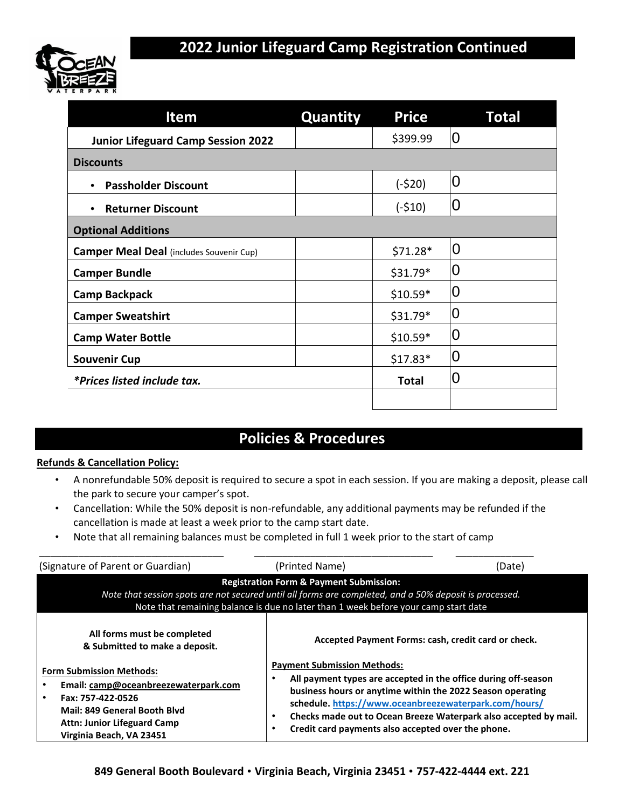

| Item                                            | <b>Quantity</b> | <b>Price</b> | <b>Total</b>   |
|-------------------------------------------------|-----------------|--------------|----------------|
| <b>Junior Lifeguard Camp Session 2022</b>       |                 | \$399.99     | 0              |
| <b>Discounts</b>                                |                 |              |                |
| <b>Passholder Discount</b>                      |                 | $(-$20)$     | 0              |
| <b>Returner Discount</b>                        |                 | $(-510)$     | 0              |
| <b>Optional Additions</b>                       |                 |              |                |
| <b>Camper Meal Deal</b> (includes Souvenir Cup) |                 | $$71.28*$    | $\overline{0}$ |
| <b>Camper Bundle</b>                            |                 | $$31.79*$    | 0              |
| <b>Camp Backpack</b>                            |                 | $$10.59*$    | 0              |
| <b>Camper Sweatshirt</b>                        |                 | $$31.79*$    | 0              |
| <b>Camp Water Bottle</b>                        |                 | $$10.59*$    | 0              |
| <b>Souvenir Cup</b>                             |                 | $$17.83*$    | 0              |
| *Prices listed include tax.                     |                 | <b>Total</b> | 0              |
|                                                 |                 |              |                |

## **Policies & Procedures**

#### **Refunds & Cancellation Policy:**

- A nonrefundable 50% deposit is required to secure a spot in each session. If you are making a deposit, please call the park to secure your camper's spot.
- Cancellation: While the 50% deposit is non-refundable, any additional payments may be refunded if the cancellation is made at least a week prior to the camp start date.
- Note that all remaining balances must be completed in full 1 week prior to the start of camp

| (Signature of Parent or Guardian)                                                                                                                                                              | (Printed Name)                                                                                                                                                                                                                                                                                                                                                 | (Date) |
|------------------------------------------------------------------------------------------------------------------------------------------------------------------------------------------------|----------------------------------------------------------------------------------------------------------------------------------------------------------------------------------------------------------------------------------------------------------------------------------------------------------------------------------------------------------------|--------|
|                                                                                                                                                                                                | <b>Registration Form &amp; Payment Submission:</b><br>Note that session spots are not secured until all forms are completed, and a 50% deposit is processed.<br>Note that remaining balance is due no later than 1 week before your camp start date                                                                                                            |        |
| All forms must be completed<br>& Submitted to make a deposit.                                                                                                                                  | Accepted Payment Forms: cash, credit card or check.                                                                                                                                                                                                                                                                                                            |        |
| <b>Form Submission Methods:</b><br>Email: camp@oceanbreezewaterpark.com<br>Fax: 757-422-0526<br>Mail: 849 General Booth Blyd<br><b>Attn: Junior Lifeguard Camp</b><br>Virginia Beach, VA 23451 | <b>Payment Submission Methods:</b><br>All payment types are accepted in the office during off-season<br>business hours or anytime within the 2022 Season operating<br>schedule.https://www.oceanbreezewaterpark.com/hours/<br>Checks made out to Ocean Breeze Waterpark also accepted by mail.<br>٠<br>Credit card payments also accepted over the phone.<br>٠ |        |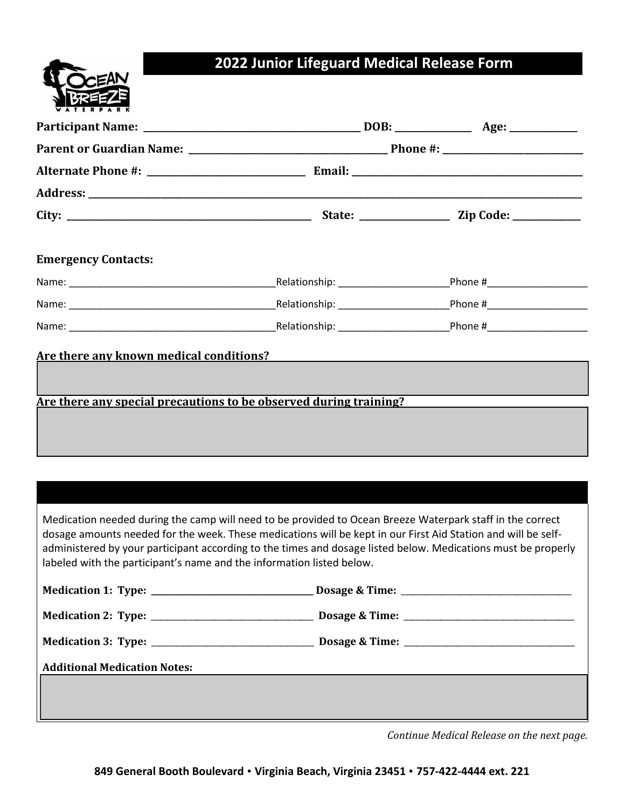# **2022 Junior Lifeguard Medical Release Form**

|  |  |   | EAN          |   |
|--|--|---|--------------|---|
|  |  | 2 | <b>BREEZ</b> | ξ |
|  |  |   |              |   |

| <b>Emergency Contacts:</b>                                            |                                                                                                                                                                                                                                                                                                                                             |  |
|-----------------------------------------------------------------------|---------------------------------------------------------------------------------------------------------------------------------------------------------------------------------------------------------------------------------------------------------------------------------------------------------------------------------------------|--|
|                                                                       |                                                                                                                                                                                                                                                                                                                                             |  |
|                                                                       |                                                                                                                                                                                                                                                                                                                                             |  |
|                                                                       |                                                                                                                                                                                                                                                                                                                                             |  |
|                                                                       |                                                                                                                                                                                                                                                                                                                                             |  |
| labeled with the participant's name and the information listed below. | Medication needed during the camp will need to be provided to Ocean Breeze Waterpark staff in the correct<br>dosage amounts needed for the week. These medications will be kept in our First Aid Station and will be self-<br>administered by your participant according to the times and dosage listed below. Medications must be properly |  |
|                                                                       |                                                                                                                                                                                                                                                                                                                                             |  |
|                                                                       |                                                                                                                                                                                                                                                                                                                                             |  |
|                                                                       |                                                                                                                                                                                                                                                                                                                                             |  |
| <b>Additional Medication Notes:</b>                                   |                                                                                                                                                                                                                                                                                                                                             |  |

*Continue Medical Release on the next page.*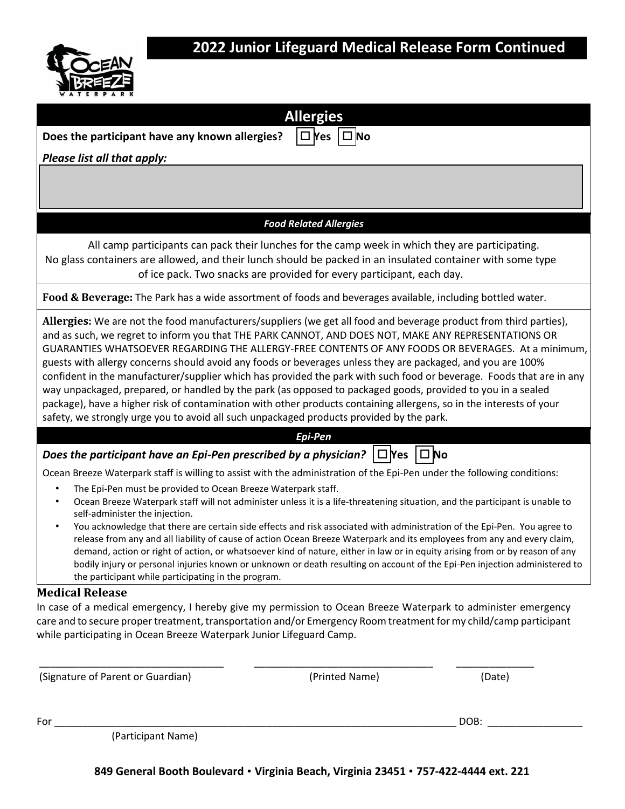

## **2022 Junior Lifeguard Medical Release Form Continued**

| WATERPARK                                                                                                                                                                                                                                                                                                                                                                                                                                                                                                                                                                                                                                                                                                                                                                                                                                                                                                |                                                                                                                                                                                                                                                                                                                                                                                                                                                                                                                                                                                                                                                    |              |
|----------------------------------------------------------------------------------------------------------------------------------------------------------------------------------------------------------------------------------------------------------------------------------------------------------------------------------------------------------------------------------------------------------------------------------------------------------------------------------------------------------------------------------------------------------------------------------------------------------------------------------------------------------------------------------------------------------------------------------------------------------------------------------------------------------------------------------------------------------------------------------------------------------|----------------------------------------------------------------------------------------------------------------------------------------------------------------------------------------------------------------------------------------------------------------------------------------------------------------------------------------------------------------------------------------------------------------------------------------------------------------------------------------------------------------------------------------------------------------------------------------------------------------------------------------------------|--------------|
|                                                                                                                                                                                                                                                                                                                                                                                                                                                                                                                                                                                                                                                                                                                                                                                                                                                                                                          | <b>Allergies</b>                                                                                                                                                                                                                                                                                                                                                                                                                                                                                                                                                                                                                                   |              |
| Does the participant have any known allergies?                                                                                                                                                                                                                                                                                                                                                                                                                                                                                                                                                                                                                                                                                                                                                                                                                                                           | □ No<br>$\square$ Nes                                                                                                                                                                                                                                                                                                                                                                                                                                                                                                                                                                                                                              |              |
| Please list all that apply:                                                                                                                                                                                                                                                                                                                                                                                                                                                                                                                                                                                                                                                                                                                                                                                                                                                                              |                                                                                                                                                                                                                                                                                                                                                                                                                                                                                                                                                                                                                                                    |              |
|                                                                                                                                                                                                                                                                                                                                                                                                                                                                                                                                                                                                                                                                                                                                                                                                                                                                                                          |                                                                                                                                                                                                                                                                                                                                                                                                                                                                                                                                                                                                                                                    |              |
|                                                                                                                                                                                                                                                                                                                                                                                                                                                                                                                                                                                                                                                                                                                                                                                                                                                                                                          | <b>Food Related Allergies</b>                                                                                                                                                                                                                                                                                                                                                                                                                                                                                                                                                                                                                      |              |
| No glass containers are allowed, and their lunch should be packed in an insulated container with some type                                                                                                                                                                                                                                                                                                                                                                                                                                                                                                                                                                                                                                                                                                                                                                                               | All camp participants can pack their lunches for the camp week in which they are participating.<br>of ice pack. Two snacks are provided for every participant, each day.                                                                                                                                                                                                                                                                                                                                                                                                                                                                           |              |
| Food & Beverage: The Park has a wide assortment of foods and beverages available, including bottled water.                                                                                                                                                                                                                                                                                                                                                                                                                                                                                                                                                                                                                                                                                                                                                                                               |                                                                                                                                                                                                                                                                                                                                                                                                                                                                                                                                                                                                                                                    |              |
| Allergies: We are not the food manufacturers/suppliers (we get all food and beverage product from third parties),<br>and as such, we regret to inform you that THE PARK CANNOT, AND DOES NOT, MAKE ANY REPRESENTATIONS OR<br>GUARANTIES WHATSOEVER REGARDING THE ALLERGY-FREE CONTENTS OF ANY FOODS OR BEVERAGES. At a minimum,<br>guests with allergy concerns should avoid any foods or beverages unless they are packaged, and you are 100%<br>confident in the manufacturer/supplier which has provided the park with such food or beverage. Foods that are in any<br>way unpackaged, prepared, or handled by the park (as opposed to packaged goods, provided to you in a sealed<br>package), have a higher risk of contamination with other products containing allergens, so in the interests of your<br>safety, we strongly urge you to avoid all such unpackaged products provided by the park. |                                                                                                                                                                                                                                                                                                                                                                                                                                                                                                                                                                                                                                                    |              |
|                                                                                                                                                                                                                                                                                                                                                                                                                                                                                                                                                                                                                                                                                                                                                                                                                                                                                                          | Epi-Pen                                                                                                                                                                                                                                                                                                                                                                                                                                                                                                                                                                                                                                            |              |
| Does the participant have an Epi-Pen prescribed by a physician? $\Box$ Yes                                                                                                                                                                                                                                                                                                                                                                                                                                                                                                                                                                                                                                                                                                                                                                                                                               |                                                                                                                                                                                                                                                                                                                                                                                                                                                                                                                                                                                                                                                    | $\square$ No |
| Ocean Breeze Waterpark staff is willing to assist with the administration of the Epi-Pen under the following conditions:                                                                                                                                                                                                                                                                                                                                                                                                                                                                                                                                                                                                                                                                                                                                                                                 |                                                                                                                                                                                                                                                                                                                                                                                                                                                                                                                                                                                                                                                    |              |
| The Epi-Pen must be provided to Ocean Breeze Waterpark staff.<br>$\bullet$<br>self-administer the injection.<br>the participant while participating in the program.                                                                                                                                                                                                                                                                                                                                                                                                                                                                                                                                                                                                                                                                                                                                      | Ocean Breeze Waterpark staff will not administer unless it is a life-threatening situation, and the participant is unable to<br>You acknowledge that there are certain side effects and risk associated with administration of the Epi-Pen. You agree to<br>release from any and all liability of cause of action Ocean Breeze Waterpark and its employees from any and every claim,<br>demand, action or right of action, or whatsoever kind of nature, either in law or in equity arising from or by reason of any<br>bodily injury or personal injuries known or unknown or death resulting on account of the Epi-Pen injection administered to |              |
| <b>Medical Release</b>                                                                                                                                                                                                                                                                                                                                                                                                                                                                                                                                                                                                                                                                                                                                                                                                                                                                                   |                                                                                                                                                                                                                                                                                                                                                                                                                                                                                                                                                                                                                                                    |              |
| In case of a medical emergency, I hereby give my permission to Ocean Breeze Waterpark to administer emergency<br>care and to secure proper treatment, transportation and/or Emergency Room treatment for my child/camp participant<br>while participating in Ocean Breeze Waterpark Junior Lifeguard Camp.                                                                                                                                                                                                                                                                                                                                                                                                                                                                                                                                                                                               |                                                                                                                                                                                                                                                                                                                                                                                                                                                                                                                                                                                                                                                    |              |
| (Signature of Parent or Guardian)                                                                                                                                                                                                                                                                                                                                                                                                                                                                                                                                                                                                                                                                                                                                                                                                                                                                        | (Printed Name)                                                                                                                                                                                                                                                                                                                                                                                                                                                                                                                                                                                                                                     | (Date)       |

For \_\_\_\_\_\_\_\_\_\_\_\_\_\_\_\_\_\_\_\_\_\_\_\_\_\_\_\_\_\_\_\_\_\_\_\_\_\_\_\_\_\_\_\_\_\_\_\_\_\_\_\_\_\_\_\_\_\_\_\_\_\_\_\_\_\_\_\_\_\_\_\_ DOB: \_\_\_\_\_\_\_\_\_\_\_\_\_\_\_\_\_

(Participant Name)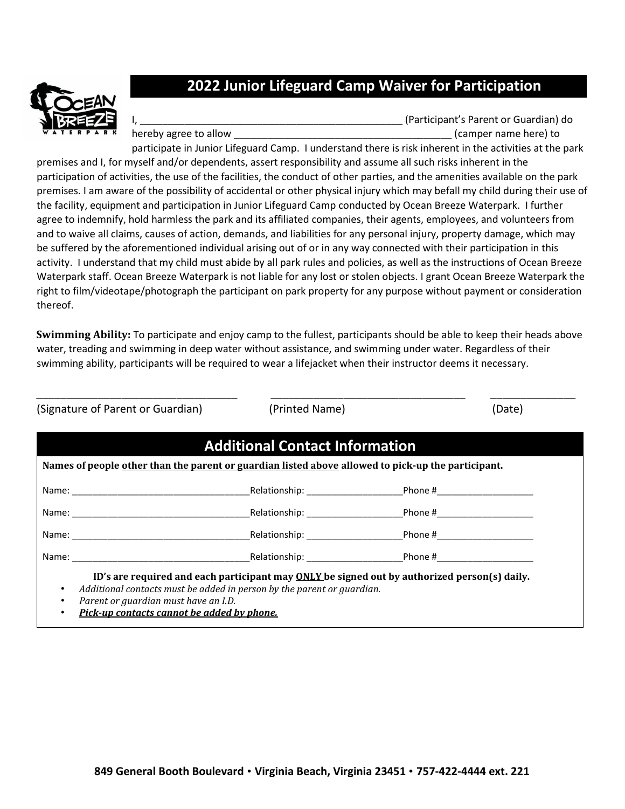

## **2022 Junior Lifeguard Camp Waiver for Participation**

(Participant's Parent or Guardian) do hereby agree to allow the same of the same here of the same here is a set of the same here in the same here) to

participate in Junior Lifeguard Camp. I understand there is risk inherent in the activities at the park premises and I, for myself and/or dependents, assert responsibility and assume all such risks inherent in the participation of activities, the use of the facilities, the conduct of other parties, and the amenities available on the park premises. I am aware of the possibility of accidental or other physical injury which may befall my child during their use of the facility, equipment and participation in Junior Lifeguard Camp conducted by Ocean Breeze Waterpark. I further agree to indemnify, hold harmless the park and its affiliated companies, their agents, employees, and volunteers from and to waive all claims, causes of action, demands, and liabilities for any personal injury, property damage, which may be suffered by the aforementioned individual arising out of or in any way connected with their participation in this activity. I understand that my child must abide by all park rules and policies, as well as the instructions of Ocean Breeze Waterpark staff. Ocean Breeze Waterpark is not liable for any lost or stolen objects. I grant Ocean Breeze Waterpark the right to film/videotape/photograph the participant on park property for any purpose without payment or consideration thereof.

**Swimming Ability:** To participate and enjoy camp to the fullest, participants should be able to keep their heads above water, treading and swimming in deep water without assistance, and swimming under water. Regardless of their swimming ability, participants will be required to wear a lifejacket when their instructor deems it necessary.

\_\_\_\_\_\_\_\_\_\_\_\_\_\_\_\_\_\_\_\_\_\_\_\_\_\_\_\_\_\_\_\_\_ \_\_\_\_\_\_\_\_\_\_\_\_\_\_\_\_\_\_\_\_\_\_\_\_\_\_\_\_\_\_\_\_ \_\_\_\_\_\_\_\_\_\_\_\_\_\_ (Printed Name) (Date)

| Names of people other than the parent or guardian listed above allowed to pick-up the participant. |                                                                                                                                                                                                                                |  |
|----------------------------------------------------------------------------------------------------|--------------------------------------------------------------------------------------------------------------------------------------------------------------------------------------------------------------------------------|--|
|                                                                                                    | _Relationship: ________________________                                                                                                                                                                                        |  |
|                                                                                                    |                                                                                                                                                                                                                                |  |
|                                                                                                    | Relationship: The contract of the contract of the contract of the contract of the contract of the contract of the contract of the contract of the contract of the contract of the contract of the contract of the contract of  |  |
|                                                                                                    | Name: Name: All the South of the Selationship: Name and the Selationship: Name and Selationship: Name and Selationship: Name and Selationship: Name and Selationship: Name and Selationship: Name and Selationship: Name and S |  |

• *Pick-up contacts cannot be added by phone.*